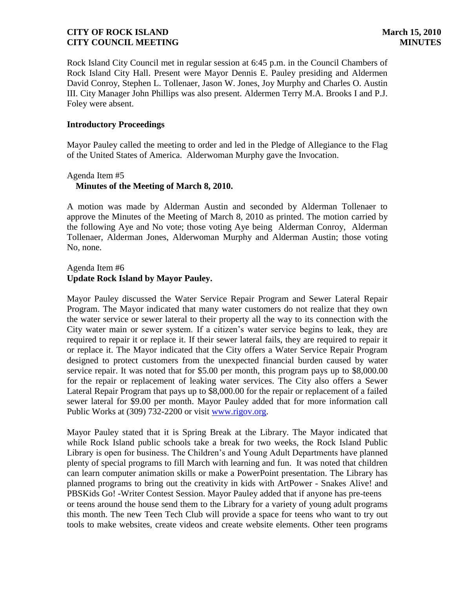Rock Island City Council met in regular session at 6:45 p.m. in the Council Chambers of Rock Island City Hall. Present were Mayor Dennis E. Pauley presiding and Aldermen David Conroy, Stephen L. Tollenaer, Jason W. Jones, Joy Murphy and Charles O. Austin III. City Manager John Phillips was also present. Aldermen Terry M.A. Brooks I and P.J. Foley were absent.

#### **Introductory Proceedings**

Mayor Pauley called the meeting to order and led in the Pledge of Allegiance to the Flag of the United States of America. Alderwoman Murphy gave the Invocation.

# Agenda Item #5  **Minutes of the Meeting of March 8, 2010.**

A motion was made by Alderman Austin and seconded by Alderman Tollenaer to approve the Minutes of the Meeting of March 8, 2010 as printed. The motion carried by the following Aye and No vote; those voting Aye being Alderman Conroy, Alderman Tollenaer, Alderman Jones, Alderwoman Murphy and Alderman Austin; those voting No, none.

## Agenda Item #6 **Update Rock Island by Mayor Pauley.**

Mayor Pauley discussed the Water Service Repair Program and Sewer Lateral Repair Program. The Mayor indicated that many water customers do not realize that they own the water service or sewer lateral to their property all the way to its connection with the City water main or sewer system. If a citizen's water service begins to leak, they are required to repair it or replace it. If their sewer lateral fails, they are required to repair it or replace it. The Mayor indicated that the City offers a Water Service Repair Program designed to protect customers from the unexpected financial burden caused by water service repair. It was noted that for \$5.00 per month, this program pays up to \$8,000.00 for the repair or replacement of leaking water services. The City also offers a Sewer Lateral Repair Program that pays up to \$8,000.00 for the repair or replacement of a failed sewer lateral for \$9.00 per month. Mayor Pauley added that for more information call Public Works at (309) 732-2200 or visit [www.rigov.org.](http://www.rigov.org/)

Mayor Pauley stated that it is Spring Break at the Library. The Mayor indicated that while Rock Island public schools take a break for two weeks, the Rock Island Public Library is open for business. The Children's and Young Adult Departments have planned plenty of special programs to fill March with learning and fun. It was noted that children can learn computer animation skills or make a PowerPoint presentation. The Library has planned programs to bring out the creativity in kids with ArtPower - Snakes Alive! and PBSKids Go! -Writer Contest Session. Mayor Pauley added that if anyone has pre-teens or teens around the house send them to the Library for a variety of young adult programs this month. The new Teen Tech Club will provide a space for teens who want to try out tools to make websites, create videos and create website elements. Other teen programs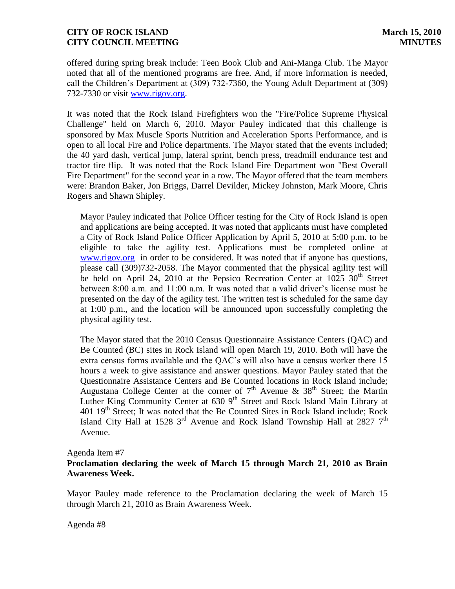offered during spring break include: Teen Book Club and Ani-Manga Club. The Mayor noted that all of the mentioned programs are free. And, if more information is needed, call the Children's Department at (309) 732-7360, the Young Adult Department at (309) 732-7330 or visit [www.rigov.org.](http://www.rigov.org/)

It was noted that the Rock Island Firefighters won the "Fire/Police Supreme Physical Challenge" held on March 6, 2010. Mayor Pauley indicated that this challenge is sponsored by Max Muscle Sports Nutrition and Acceleration Sports Performance, and is open to all local Fire and Police departments. The Mayor stated that the events included; the 40 yard dash, vertical jump, lateral sprint, bench press, treadmill endurance test and tractor tire flip. It was noted that the Rock Island Fire Department won "Best Overall Fire Department" for the second year in a row. The Mayor offered that the team members were: Brandon Baker, Jon Briggs, Darrel Devilder, Mickey Johnston, Mark Moore, Chris Rogers and Shawn Shipley.

 Mayor Pauley indicated that Police Officer testing for the City of Rock Island is open and applications are being accepted. It was noted that applicants must have completed a City of Rock Island Police Officer Application by April 5, 2010 at 5:00 p.m. to be eligible to take the agility test. Applications must be completed online at [www.rigov.org](http://www.rigov.org/) in order to be considered. It was noted that if anyone has questions, please call (309)732-2058. The Mayor commented that the physical agility test will be held on April 24, 2010 at the Pepsico Recreation Center at  $1025 \, 30^{th}$  Street between 8:00 a.m. and 11:00 a.m. It was noted that a valid driver's license must be presented on the day of the agility test. The written test is scheduled for the same day at 1:00 p.m., and the location will be announced upon successfully completing the physical agility test.

 The Mayor stated that the 2010 Census Questionnaire Assistance Centers (QAC) and Be Counted (BC) sites in Rock Island will open March 19, 2010. Both will have the extra census forms available and the QAC's will also have a census worker there 15 hours a week to give assistance and answer questions. Mayor Pauley stated that the Questionnaire Assistance Centers and Be Counted locations in Rock Island include; Augustana College Center at the corner of  $7<sup>th</sup>$  Avenue &  $38<sup>th</sup>$  Street; the Martin Luther King Community Center at  $6309<sup>th</sup>$  Street and Rock Island Main Library at  $401\,19<sup>th</sup>$  Street; It was noted that the Be Counted Sites in Rock Island include; Rock Island City Hall at 1528  $3<sup>rd</sup>$  Avenue and Rock Island Township Hall at 2827  $7<sup>th</sup>$ Avenue.

#### Agenda Item #7

### **Proclamation declaring the week of March 15 through March 21, 2010 as Brain Awareness Week.**

Mayor Pauley made reference to the Proclamation declaring the week of March 15 through March 21, 2010 as Brain Awareness Week.

Agenda #8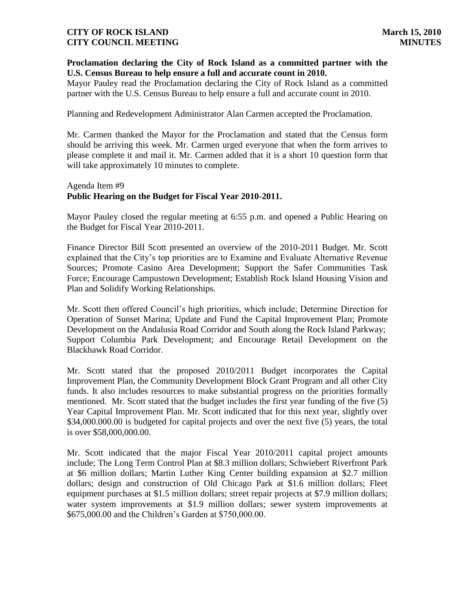## **Proclamation declaring the City of Rock Island as a committed partner with the U.S. Census Bureau to help ensure a full and accurate count in 2010.**

Mayor Pauley read the Proclamation declaring the City of Rock Island as a committed partner with the U.S. Census Bureau to help ensure a full and accurate count in 2010.

Planning and Redevelopment Administrator Alan Carmen accepted the Proclamation.

Mr. Carmen thanked the Mayor for the Proclamation and stated that the Census form should be arriving this week. Mr. Carmen urged everyone that when the form arrives to please complete it and mail it. Mr. Carmen added that it is a short 10 question form that will take approximately 10 minutes to complete.

## Agenda Item #9 **Public Hearing on the Budget for Fiscal Year 2010-2011.**

Mayor Pauley closed the regular meeting at 6:55 p.m. and opened a Public Hearing on the Budget for Fiscal Year 2010-2011.

Finance Director Bill Scott presented an overview of the 2010-2011 Budget. Mr. Scott explained that the City's top priorities are to Examine and Evaluate Alternative Revenue Sources; Promote Casino Area Development; Support the Safer Communities Task Force; Encourage Campustown Development; Establish Rock Island Housing Vision and Plan and Solidify Working Relationships.

Mr. Scott then offered Council's high priorities, which include; Determine Direction for Operation of Sunset Marina; Update and Fund the Capital Improvement Plan; Promote Development on the Andalusia Road Corridor and South along the Rock Island Parkway; Support Columbia Park Development; and Encourage Retail Development on the Blackhawk Road Corridor.

Mr. Scott stated that the proposed 2010/2011 Budget incorporates the Capital Improvement Plan, the Community Development Block Grant Program and all other City funds. It also includes resources to make substantial progress on the priorities formally mentioned. Mr. Scott stated that the budget includes the first year funding of the five (5) Year Capital Improvement Plan. Mr. Scott indicated that for this next year, slightly over \$34,000,000.00 is budgeted for capital projects and over the next five (5) years, the total is over \$58,000,000.00.

Mr. Scott indicated that the major Fiscal Year 2010/2011 capital project amounts include; The Long Term Control Plan at \$8.3 million dollars; Schwiebert Riverfront Park at \$6 million dollars; Martin Luther King Center building expansion at \$2.7 million dollars; design and construction of Old Chicago Park at \$1.6 million dollars; Fleet equipment purchases at \$1.5 million dollars; street repair projects at \$7.9 million dollars; water system improvements at \$1.9 million dollars; sewer system improvements at \$675,000.00 and the Children's Garden at \$750,000.00.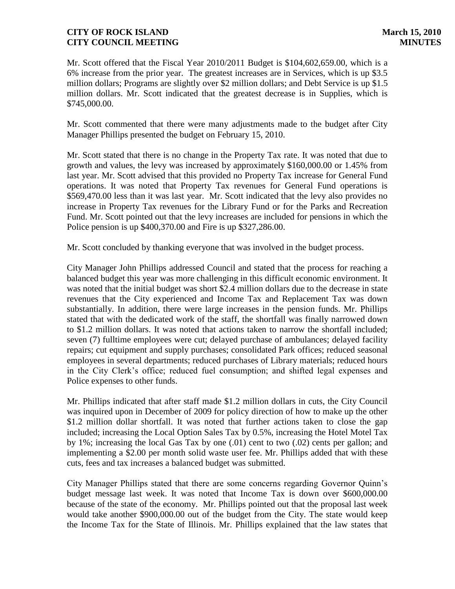Mr. Scott offered that the Fiscal Year 2010/2011 Budget is \$104,602,659.00, which is a 6% increase from the prior year. The greatest increases are in Services, which is up \$3.5 million dollars; Programs are slightly over \$2 million dollars; and Debt Service is up \$1.5 million dollars. Mr. Scott indicated that the greatest decrease is in Supplies, which is \$745,000.00.

Mr. Scott commented that there were many adjustments made to the budget after City Manager Phillips presented the budget on February 15, 2010.

Mr. Scott stated that there is no change in the Property Tax rate. It was noted that due to growth and values, the levy was increased by approximately \$160,000.00 or 1.45% from last year. Mr. Scott advised that this provided no Property Tax increase for General Fund operations. It was noted that Property Tax revenues for General Fund operations is \$569,470.00 less than it was last year. Mr. Scott indicated that the levy also provides no increase in Property Tax revenues for the Library Fund or for the Parks and Recreation Fund. Mr. Scott pointed out that the levy increases are included for pensions in which the Police pension is up \$400,370.00 and Fire is up \$327,286.00.

Mr. Scott concluded by thanking everyone that was involved in the budget process.

City Manager John Phillips addressed Council and stated that the process for reaching a balanced budget this year was more challenging in this difficult economic environment. It was noted that the initial budget was short \$2.4 million dollars due to the decrease in state revenues that the City experienced and Income Tax and Replacement Tax was down substantially. In addition, there were large increases in the pension funds. Mr. Phillips stated that with the dedicated work of the staff, the shortfall was finally narrowed down to \$1.2 million dollars. It was noted that actions taken to narrow the shortfall included; seven (7) fulltime employees were cut; delayed purchase of ambulances; delayed facility repairs; cut equipment and supply purchases; consolidated Park offices; reduced seasonal employees in several departments; reduced purchases of Library materials; reduced hours in the City Clerk's office; reduced fuel consumption; and shifted legal expenses and Police expenses to other funds.

Mr. Phillips indicated that after staff made \$1.2 million dollars in cuts, the City Council was inquired upon in December of 2009 for policy direction of how to make up the other \$1.2 million dollar shortfall. It was noted that further actions taken to close the gap included; increasing the Local Option Sales Tax by 0.5%, increasing the Hotel Motel Tax by 1%; increasing the local Gas Tax by one (.01) cent to two (.02) cents per gallon; and implementing a \$2.00 per month solid waste user fee. Mr. Phillips added that with these cuts, fees and tax increases a balanced budget was submitted.

City Manager Phillips stated that there are some concerns regarding Governor Quinn's budget message last week. It was noted that Income Tax is down over \$600,000.00 because of the state of the economy. Mr. Phillips pointed out that the proposal last week would take another \$900,000.00 out of the budget from the City. The state would keep the Income Tax for the State of Illinois. Mr. Phillips explained that the law states that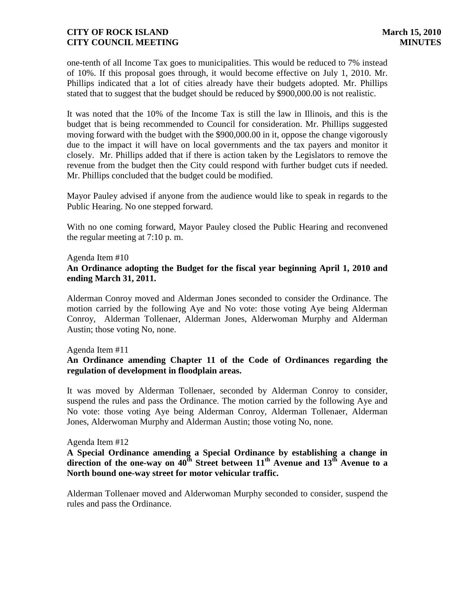one-tenth of all Income Tax goes to municipalities. This would be reduced to 7% instead of 10%. If this proposal goes through, it would become effective on July 1, 2010. Mr. Phillips indicated that a lot of cities already have their budgets adopted. Mr. Phillips stated that to suggest that the budget should be reduced by \$900,000.00 is not realistic.

It was noted that the 10% of the Income Tax is still the law in Illinois, and this is the budget that is being recommended to Council for consideration. Mr. Phillips suggested moving forward with the budget with the \$900,000.00 in it, oppose the change vigorously due to the impact it will have on local governments and the tax payers and monitor it closely. Mr. Phillips added that if there is action taken by the Legislators to remove the revenue from the budget then the City could respond with further budget cuts if needed. Mr. Phillips concluded that the budget could be modified.

Mayor Pauley advised if anyone from the audience would like to speak in regards to the Public Hearing. No one stepped forward.

With no one coming forward, Mayor Pauley closed the Public Hearing and reconvened the regular meeting at 7:10 p. m.

Agenda Item #10

## **An Ordinance adopting the Budget for the fiscal year beginning April 1, 2010 and ending March 31, 2011.**

Alderman Conroy moved and Alderman Jones seconded to consider the Ordinance. The motion carried by the following Aye and No vote: those voting Aye being Alderman Conroy, Alderman Tollenaer, Alderman Jones, Alderwoman Murphy and Alderman Austin; those voting No, none.

### Agenda Item #11

# **An Ordinance amending Chapter 11 of the Code of Ordinances regarding the regulation of development in floodplain areas.**

It was moved by Alderman Tollenaer, seconded by Alderman Conroy to consider, suspend the rules and pass the Ordinance. The motion carried by the following Aye and No vote: those voting Aye being Alderman Conroy, Alderman Tollenaer, Alderman Jones, Alderwoman Murphy and Alderman Austin; those voting No, none.

### Agenda Item #12

## **A Special Ordinance amending a Special Ordinance by establishing a change in direction of the one-way on 40th Street between 11th Avenue and 13th Avenue to a North bound one-way street for motor vehicular traffic.**

Alderman Tollenaer moved and Alderwoman Murphy seconded to consider, suspend the rules and pass the Ordinance.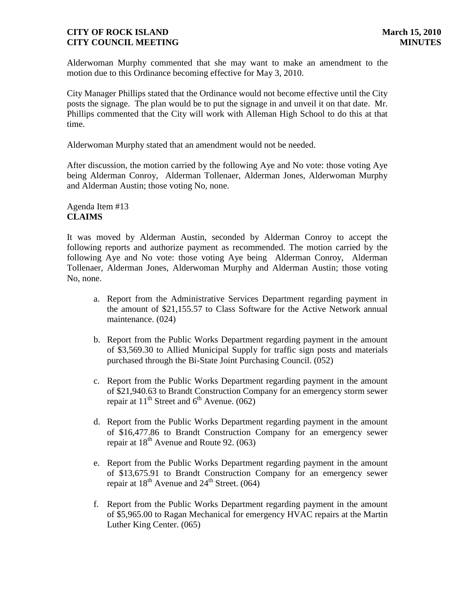Alderwoman Murphy commented that she may want to make an amendment to the motion due to this Ordinance becoming effective for May 3, 2010.

City Manager Phillips stated that the Ordinance would not become effective until the City posts the signage. The plan would be to put the signage in and unveil it on that date. Mr. Phillips commented that the City will work with Alleman High School to do this at that time.

Alderwoman Murphy stated that an amendment would not be needed.

After discussion, the motion carried by the following Aye and No vote: those voting Aye being Alderman Conroy, Alderman Tollenaer, Alderman Jones, Alderwoman Murphy and Alderman Austin; those voting No, none.

## Agenda Item #13 **CLAIMS**

It was moved by Alderman Austin, seconded by Alderman Conroy to accept the following reports and authorize payment as recommended. The motion carried by the following Aye and No vote: those voting Aye being Alderman Conroy, Alderman Tollenaer, Alderman Jones, Alderwoman Murphy and Alderman Austin; those voting No, none.

- a. Report from the Administrative Services Department regarding payment in the amount of \$21,155.57 to Class Software for the Active Network annual maintenance. (024)
- b. Report from the Public Works Department regarding payment in the amount of \$3,569.30 to Allied Municipal Supply for traffic sign posts and materials purchased through the Bi-State Joint Purchasing Council. (052)
- c. Report from the Public Works Department regarding payment in the amount of \$21,940.63 to Brandt Construction Company for an emergency storm sewer repair at  $11^{th}$  Street and  $6^{th}$  Avenue. (062)
- d. Report from the Public Works Department regarding payment in the amount of \$16,477.86 to Brandt Construction Company for an emergency sewer repair at  $18^{th}$  Avenue and Route 92. (063)
- e. Report from the Public Works Department regarding payment in the amount of \$13,675.91 to Brandt Construction Company for an emergency sewer repair at  $18^{th}$  Avenue and  $24^{th}$  Street. (064)
- f. Report from the Public Works Department regarding payment in the amount of \$5,965.00 to Ragan Mechanical for emergency HVAC repairs at the Martin Luther King Center. (065)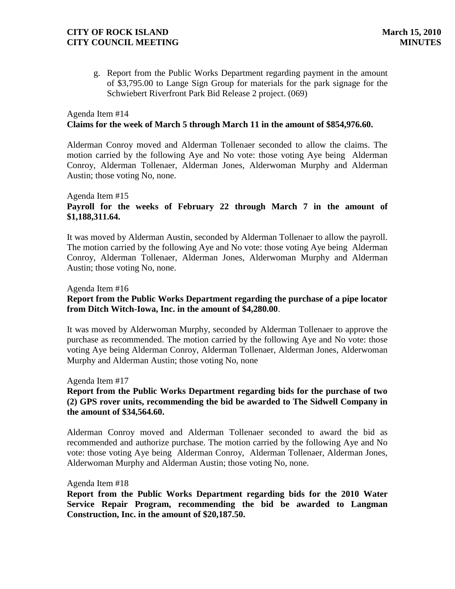g. Report from the Public Works Department regarding payment in the amount of \$3,795.00 to Lange Sign Group for materials for the park signage for the Schwiebert Riverfront Park Bid Release 2 project. (069)

## Agenda Item #14 **Claims for the week of March 5 through March 11 in the amount of \$854,976.60.**

Alderman Conroy moved and Alderman Tollenaer seconded to allow the claims. The motion carried by the following Aye and No vote: those voting Aye being Alderman Conroy, Alderman Tollenaer, Alderman Jones, Alderwoman Murphy and Alderman Austin; those voting No, none.

## Agenda Item #15 **Payroll for the weeks of February 22 through March 7 in the amount of \$1,188,311.64.**

It was moved by Alderman Austin, seconded by Alderman Tollenaer to allow the payroll. The motion carried by the following Aye and No vote: those voting Aye being Alderman Conroy, Alderman Tollenaer, Alderman Jones, Alderwoman Murphy and Alderman Austin; those voting No, none.

#### Agenda Item #16

## **Report from the Public Works Department regarding the purchase of a pipe locator from Ditch Witch-Iowa, Inc. in the amount of \$4,280.00**.

It was moved by Alderwoman Murphy, seconded by Alderman Tollenaer to approve the purchase as recommended. The motion carried by the following Aye and No vote: those voting Aye being Alderman Conroy, Alderman Tollenaer, Alderman Jones, Alderwoman Murphy and Alderman Austin; those voting No, none

#### Agenda Item #17

## **Report from the Public Works Department regarding bids for the purchase of two (2) GPS rover units, recommending the bid be awarded to The Sidwell Company in the amount of \$34,564.60.**

Alderman Conroy moved and Alderman Tollenaer seconded to award the bid as recommended and authorize purchase. The motion carried by the following Aye and No vote: those voting Aye being Alderman Conroy, Alderman Tollenaer, Alderman Jones, Alderwoman Murphy and Alderman Austin; those voting No, none.

#### Agenda Item #18

**Report from the Public Works Department regarding bids for the 2010 Water Service Repair Program, recommending the bid be awarded to Langman Construction, Inc. in the amount of \$20,187.50.**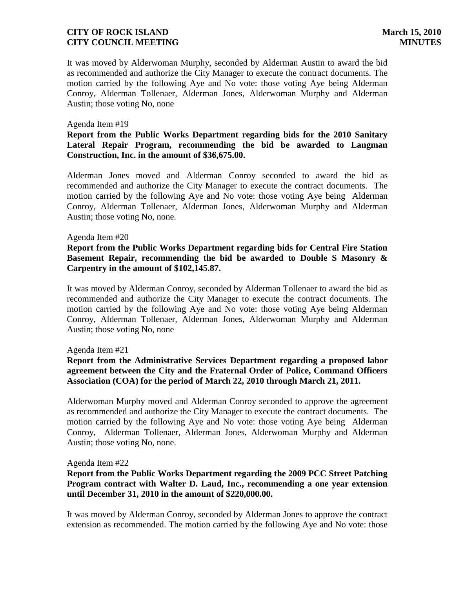It was moved by Alderwoman Murphy, seconded by Alderman Austin to award the bid as recommended and authorize the City Manager to execute the contract documents. The motion carried by the following Aye and No vote: those voting Aye being Alderman Conroy, Alderman Tollenaer, Alderman Jones, Alderwoman Murphy and Alderman Austin; those voting No, none

#### Agenda Item #19

## **Report from the Public Works Department regarding bids for the 2010 Sanitary Lateral Repair Program, recommending the bid be awarded to Langman Construction, Inc. in the amount of \$36,675.00.**

Alderman Jones moved and Alderman Conroy seconded to award the bid as recommended and authorize the City Manager to execute the contract documents. The motion carried by the following Aye and No vote: those voting Aye being Alderman Conroy, Alderman Tollenaer, Alderman Jones, Alderwoman Murphy and Alderman Austin; those voting No, none.

#### Agenda Item #20

## **Report from the Public Works Department regarding bids for Central Fire Station Basement Repair, recommending the bid be awarded to Double S Masonry & Carpentry in the amount of \$102,145.87.**

It was moved by Alderman Conroy, seconded by Alderman Tollenaer to award the bid as recommended and authorize the City Manager to execute the contract documents. The motion carried by the following Aye and No vote: those voting Aye being Alderman Conroy, Alderman Tollenaer, Alderman Jones, Alderwoman Murphy and Alderman Austin; those voting No, none

#### Agenda Item #21

## **Report from the Administrative Services Department regarding a proposed labor agreement between the City and the Fraternal Order of Police, Command Officers Association (COA) for the period of March 22, 2010 through March 21, 2011.**

Alderwoman Murphy moved and Alderman Conroy seconded to approve the agreement as recommended and authorize the City Manager to execute the contract documents. The motion carried by the following Aye and No vote: those voting Aye being Alderman Conroy, Alderman Tollenaer, Alderman Jones, Alderwoman Murphy and Alderman Austin; those voting No, none.

#### Agenda Item #22

## **Report from the Public Works Department regarding the 2009 PCC Street Patching Program contract with Walter D. Laud, Inc., recommending a one year extension until December 31, 2010 in the amount of \$220,000.00.**

It was moved by Alderman Conroy, seconded by Alderman Jones to approve the contract extension as recommended. The motion carried by the following Aye and No vote: those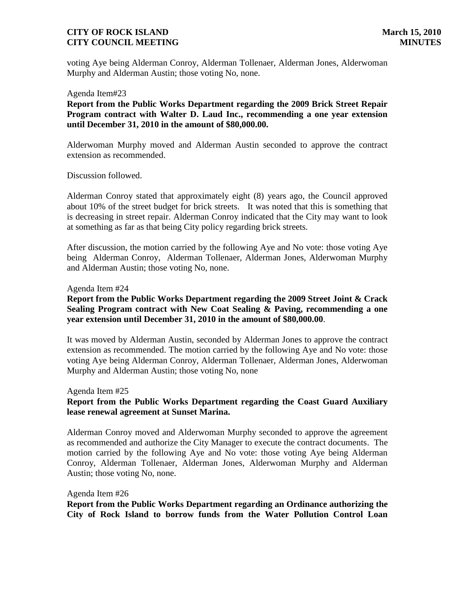voting Aye being Alderman Conroy, Alderman Tollenaer, Alderman Jones, Alderwoman Murphy and Alderman Austin; those voting No, none.

Agenda Item#23

**Report from the Public Works Department regarding the 2009 Brick Street Repair Program contract with Walter D. Laud Inc., recommending a one year extension until December 31, 2010 in the amount of \$80,000.00.** 

Alderwoman Murphy moved and Alderman Austin seconded to approve the contract extension as recommended.

Discussion followed.

Alderman Conroy stated that approximately eight (8) years ago, the Council approved about 10% of the street budget for brick streets. It was noted that this is something that is decreasing in street repair. Alderman Conroy indicated that the City may want to look at something as far as that being City policy regarding brick streets.

After discussion, the motion carried by the following Aye and No vote: those voting Aye being Alderman Conroy, Alderman Tollenaer, Alderman Jones, Alderwoman Murphy and Alderman Austin; those voting No, none.

#### Agenda Item #24

## **Report from the Public Works Department regarding the 2009 Street Joint & Crack Sealing Program contract with New Coat Sealing & Paving, recommending a one year extension until December 31, 2010 in the amount of \$80,000.00**.

It was moved by Alderman Austin, seconded by Alderman Jones to approve the contract extension as recommended. The motion carried by the following Aye and No vote: those voting Aye being Alderman Conroy, Alderman Tollenaer, Alderman Jones, Alderwoman Murphy and Alderman Austin; those voting No, none

#### Agenda Item #25

## **Report from the Public Works Department regarding the Coast Guard Auxiliary lease renewal agreement at Sunset Marina.**

Alderman Conroy moved and Alderwoman Murphy seconded to approve the agreement as recommended and authorize the City Manager to execute the contract documents. The motion carried by the following Aye and No vote: those voting Aye being Alderman Conroy, Alderman Tollenaer, Alderman Jones, Alderwoman Murphy and Alderman Austin; those voting No, none.

#### Agenda Item #26

**Report from the Public Works Department regarding an Ordinance authorizing the City of Rock Island to borrow funds from the Water Pollution Control Loan**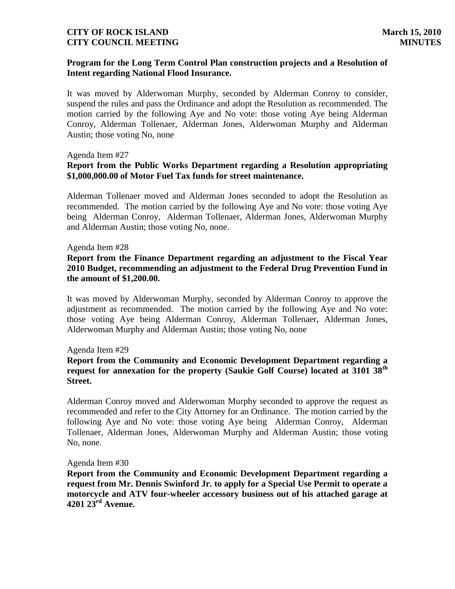## **Program for the Long Term Control Plan construction projects and a Resolution of Intent regarding National Flood Insurance.**

It was moved by Alderwoman Murphy, seconded by Alderman Conroy to consider, suspend the rules and pass the Ordinance and adopt the Resolution as recommended. The motion carried by the following Aye and No vote: those voting Aye being Alderman Conroy, Alderman Tollenaer, Alderman Jones, Alderwoman Murphy and Alderman Austin; those voting No, none

#### Agenda Item #27

## **Report from the Public Works Department regarding a Resolution appropriating \$1,000,000.00 of Motor Fuel Tax funds for street maintenance.**

Alderman Tollenaer moved and Alderman Jones seconded to adopt the Resolution as recommended. The motion carried by the following Aye and No vote: those voting Aye being Alderman Conroy, Alderman Tollenaer, Alderman Jones, Alderwoman Murphy and Alderman Austin; those voting No, none.

#### Agenda Item #28

### **Report from the Finance Department regarding an adjustment to the Fiscal Year 2010 Budget, recommending an adjustment to the Federal Drug Prevention Fund in the amount of \$1,200.00.**

It was moved by Alderwoman Murphy, seconded by Alderman Conroy to approve the adjustment as recommended. The motion carried by the following Aye and No vote: those voting Aye being Alderman Conroy, Alderman Tollenaer, Alderman Jones, Alderwoman Murphy and Alderman Austin; those voting No, none

#### Agenda Item #29

## **Report from the Community and Economic Development Department regarding a request for annexation for the property (Saukie Golf Course) located at 3101 38th Street.**

Alderman Conroy moved and Alderwoman Murphy seconded to approve the request as recommended and refer to the City Attorney for an Ordinance. The motion carried by the following Aye and No vote: those voting Aye being Alderman Conroy, Alderman Tollenaer, Alderman Jones, Alderwoman Murphy and Alderman Austin; those voting No, none.

#### Agenda Item #30

**Report from the Community and Economic Development Department regarding a request from Mr. Dennis Swinford Jr. to apply for a Special Use Permit to operate a motorcycle and ATV four-wheeler accessory business out of his attached garage at 4201 23rd Avenue.**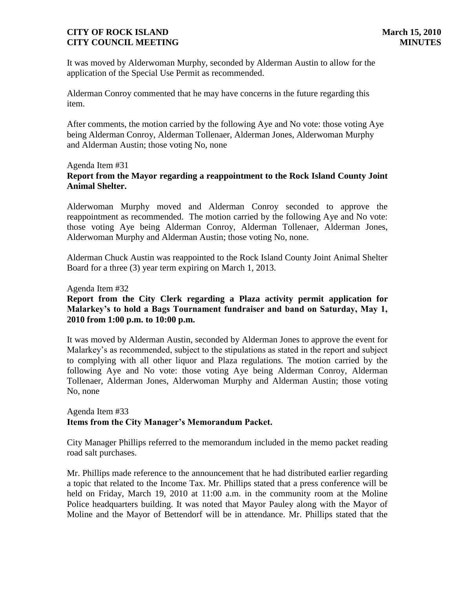It was moved by Alderwoman Murphy, seconded by Alderman Austin to allow for the application of the Special Use Permit as recommended.

Alderman Conroy commented that he may have concerns in the future regarding this item.

After comments, the motion carried by the following Aye and No vote: those voting Aye being Alderman Conroy, Alderman Tollenaer, Alderman Jones, Alderwoman Murphy and Alderman Austin; those voting No, none

#### Agenda Item #31

# **Report from the Mayor regarding a reappointment to the Rock Island County Joint Animal Shelter.**

Alderwoman Murphy moved and Alderman Conroy seconded to approve the reappointment as recommended. The motion carried by the following Aye and No vote: those voting Aye being Alderman Conroy, Alderman Tollenaer, Alderman Jones, Alderwoman Murphy and Alderman Austin; those voting No, none.

Alderman Chuck Austin was reappointed to the Rock Island County Joint Animal Shelter Board for a three (3) year term expiring on March 1, 2013.

Agenda Item #32

## **Report from the City Clerk regarding a Plaza activity permit application for Malarkey's to hold a Bags Tournament fundraiser and band on Saturday, May 1, 2010 from 1:00 p.m. to 10:00 p.m.**

It was moved by Alderman Austin, seconded by Alderman Jones to approve the event for Malarkey's as recommended, subject to the stipulations as stated in the report and subject to complying with all other liquor and Plaza regulations. The motion carried by the following Aye and No vote: those voting Aye being Alderman Conroy, Alderman Tollenaer, Alderman Jones, Alderwoman Murphy and Alderman Austin; those voting No, none

### Agenda Item #33 **Items from the City Manager's Memorandum Packet.**

City Manager Phillips referred to the memorandum included in the memo packet reading road salt purchases.

Mr. Phillips made reference to the announcement that he had distributed earlier regarding a topic that related to the Income Tax. Mr. Phillips stated that a press conference will be held on Friday, March 19, 2010 at 11:00 a.m. in the community room at the Moline Police headquarters building. It was noted that Mayor Pauley along with the Mayor of Moline and the Mayor of Bettendorf will be in attendance. Mr. Phillips stated that the